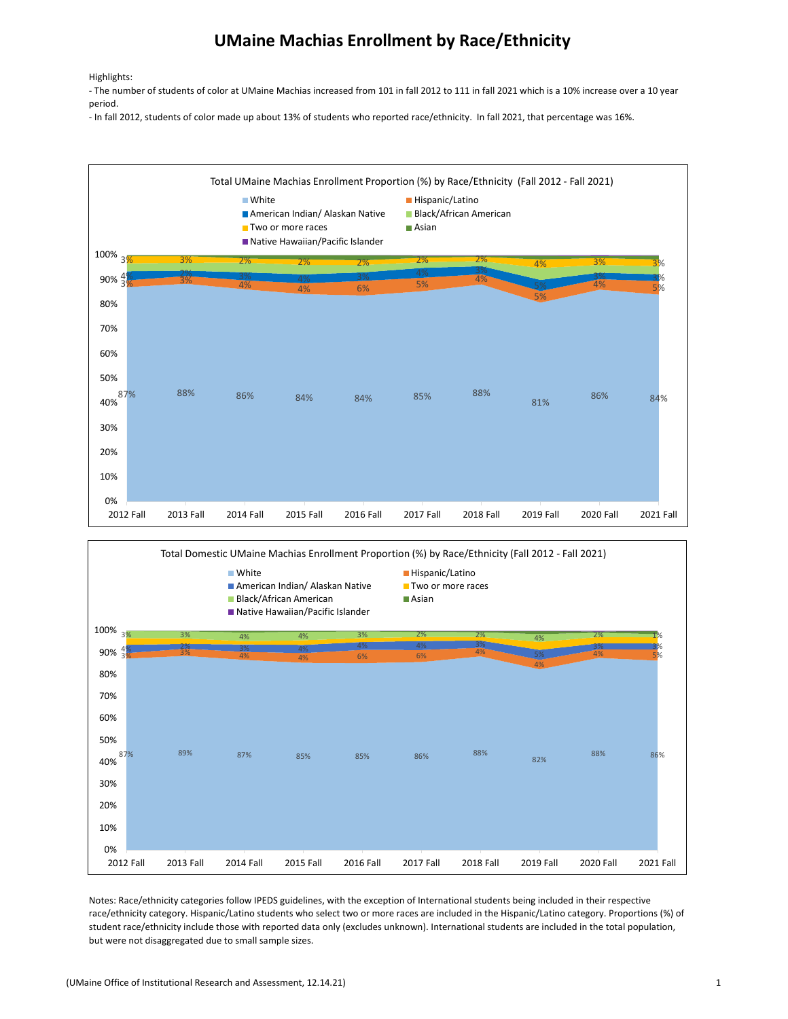## UMaine Machias Enrollment by Race/Ethnicity

Highlights:

- The number of students of color at UMaine Machias increased from 101 in fall 2012 to 111 in fall 2021 which is a 10% increase over a 10 year period.

- In fall 2012, students of color made up about 13% of students who reported race/ethnicity. In fall 2021, that percentage was 16%.





Notes: Race/ethnicity categories follow IPEDS guidelines, with the exception of International students being included in their respective race/ethnicity category. Hispanic/Latino students who select two or more races are included in the Hispanic/Latino category. Proportions (%) of student race/ethnicity include those with reported data only (excludes unknown). International students are included in the total population, but were not disaggregated due to small sample sizes.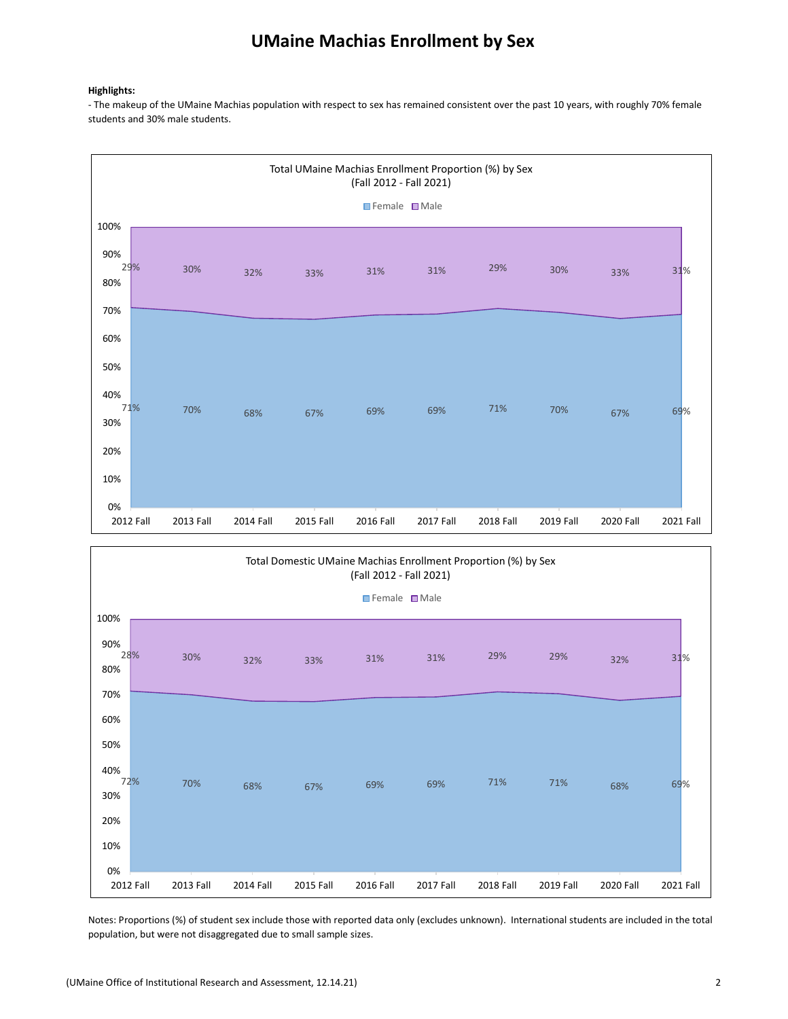## UMaine Machias Enrollment by Sex

## Highlights:

- The makeup of the UMaine Machias population with respect to sex has remained consistent over the past 10 years, with roughly 70% female students and 30% male students.





Notes: Proportions (%) of student sex include those with reported data only (excludes unknown). International students are included in the total population, but were not disaggregated due to small sample sizes.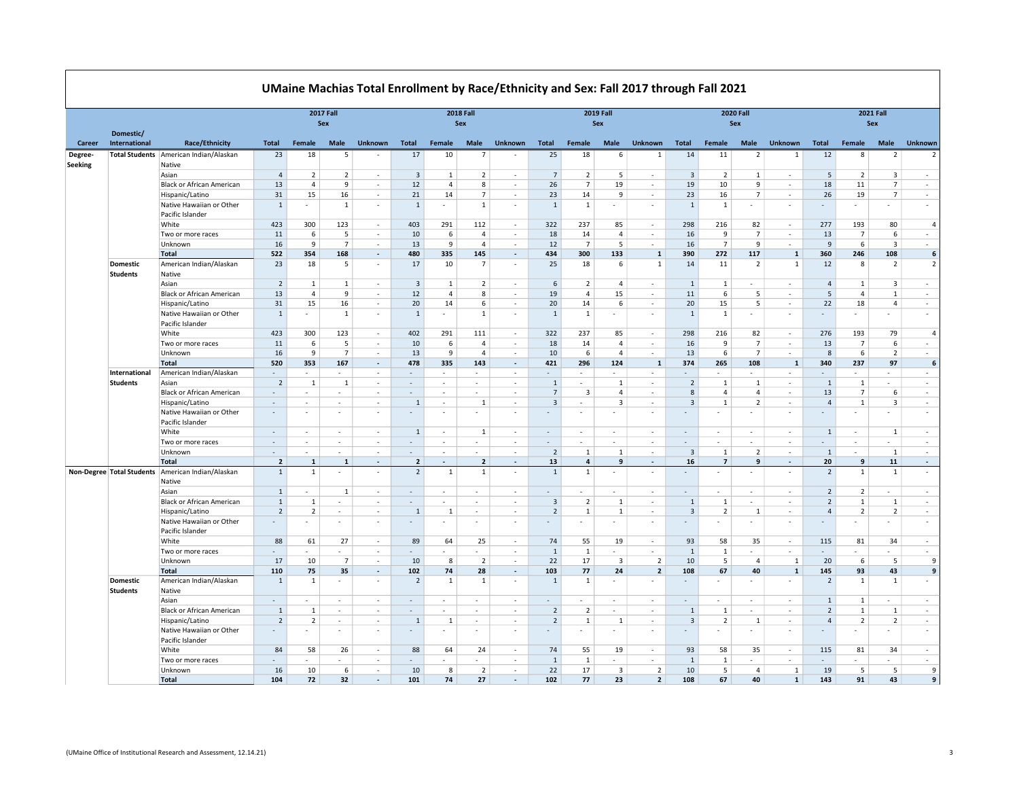|                           |                                    |                                                                 | <b>2017 Fall</b><br>Sex                       |                     |                          |                          | <b>2018 Fall</b><br>Sex  |                  |                        |                                    | <b>2019 Fall</b><br>Sex                   |                          |                   |                                    |                                |                        | <b>2020 Fall</b><br>Sex |                          | <b>2021 Fall</b><br><b>Sex</b>             |                                |                                |                          |
|---------------------------|------------------------------------|-----------------------------------------------------------------|-----------------------------------------------|---------------------|--------------------------|--------------------------|--------------------------|------------------|------------------------|------------------------------------|-------------------------------------------|--------------------------|-------------------|------------------------------------|--------------------------------|------------------------|-------------------------|--------------------------|--------------------------------------------|--------------------------------|--------------------------------|--------------------------|
| Career                    | Domestic/<br>International         | <b>Race/Ethnicity</b>                                           | Total                                         | Female              | Male                     | <b>Unknown</b>           | Total                    | Female           | Male                   | <b>Unknown</b>                     | Total                                     | Female                   | <b>Male</b>       | <b>Unknown</b>                     | Total                          | Female                 | <b>Male</b>             | <b>Unknown</b>           | Total                                      | Female                         | Male                           | <b>Unknown</b>           |
| Degree-<br><b>Seeking</b> |                                    | Total Students American Indian/Alaskan<br>Native                | 23                                            | 18                  | -5                       |                          | 17                       | 10               | 7                      | $\overline{\phantom{a}}$           | 25                                        | 18                       | 6                 | 1                                  | 14                             | 11                     | $\overline{2}$          | -1                       | 12                                         | 8                              | 2                              | $\overline{2}$           |
|                           |                                    | Asian                                                           | $\overline{4}$                                | 2                   | 2                        | $\sim$                   | $\overline{3}$           | 1                | 2                      | $\sim$                             | $\overline{7}$                            | $\overline{2}$           | 5                 | $\sim$                             | 3                              | $\overline{2}$         | $\overline{1}$          | ×.                       | 5                                          | 2                              | 3                              | $\sim$                   |
|                           |                                    | <b>Black or African American</b>                                | 13                                            | $\overline{4}$      | 9                        | $\overline{\phantom{a}}$ | 12                       | 4                | 8                      | $\sim$                             | 26                                        | $\overline{7}$           | 19                | $\overline{\phantom{a}}$           | 19                             | 10                     | 9                       | $\sim$                   | 18                                         | 11                             | $\overline{7}$                 | $\overline{\phantom{a}}$ |
|                           |                                    | Hispanic/Latino                                                 | 31                                            | 15                  | 16                       |                          | 21                       | 14               | $\overline{7}$         | $\bar{a}$                          | 23                                        | 14                       | 9                 | ×,                                 | 23                             | 16                     | $\overline{7}$          | ×.                       | 26                                         | 19                             | $\overline{7}$                 | $\sim$                   |
|                           |                                    | Native Hawaiian or Other<br>Pacific Islander                    | $\mathbf{1}$                                  |                     | 1                        | $\sim$                   | $\mathbf{1}$             | ٠                | 1                      | $\sim$                             | 1                                         | 1                        |                   | $\overline{\phantom{a}}$           | 1                              | 1                      |                         | $\overline{\phantom{a}}$ |                                            | ٠                              |                                | $\overline{\phantom{a}}$ |
|                           |                                    | White                                                           | 423                                           | 300                 | 123                      | $\overline{\phantom{a}}$ | 403                      | 291              | 112                    | $\sim$                             | 322                                       | 237                      | 85                | $\sim$                             | 298                            | 216                    | 82                      | $\sim$                   | 277                                        | 193                            | 80                             | $\overline{4}$           |
|                           |                                    | Two or more races                                               | 11                                            | 6                   | 5                        | ÷                        | 10                       | 6                | $\overline{4}$         | ÷.                                 | 18                                        | 14                       | $\overline{4}$    | ÷.                                 | 16                             | 9                      | $\overline{7}$          | $\mathcal{L}$            | 13                                         | $\overline{7}$                 | $\,6\,$                        | $\sim$                   |
|                           |                                    | Unknown                                                         | 16                                            | 9                   | $\overline{7}$           | $\sim$                   | 13                       | 9                | $\Delta$               | $\sim$                             | 12                                        | $\overline{7}$           | 5                 | $\sim$                             | 16                             | $\overline{7}$         | $\overline{9}$          | $\sim$                   | $\overline{9}$                             | 6                              | $\overline{\mathbf{3}}$        | $\sim$                   |
|                           |                                    | <b>Total</b>                                                    | 522                                           | 354                 | 168                      | $\sim$                   | 480                      | 335              | 145                    | $\mathcal{L}$                      | 434                                       | 300                      | 133               | $\mathbf{1}$                       | 390                            | 272                    | 117                     | $\mathbf{1}$             | 360                                        | 246                            | 108                            | 6                        |
|                           | <b>Domestic</b><br><b>Students</b> | American Indian/Alaskan<br>Native                               | 23                                            | 18                  | 5                        | $\sim$                   | 17                       | 10               | $\overline{7}$         | $\sim$                             | 25                                        | 18                       | 6                 | $\mathbf{1}$                       | 14                             | 11                     | $\overline{2}$          | $\mathbf{1}$             | 12                                         | 8                              | $\overline{2}$                 | $\overline{2}$           |
|                           |                                    | Asian                                                           | $\overline{2}$                                | 1                   | 1                        |                          | $\overline{3}$           | 1                | 2                      | $\bar{a}$                          | 6                                         | $\overline{2}$           | $\overline{4}$    | $\overline{\phantom{a}}$           | $\mathbf{1}$                   | 1                      |                         | ä,                       | $\overline{4}$                             | 1                              | 3                              |                          |
|                           |                                    | <b>Black or African American</b>                                | 13                                            | $\overline{4}$      | 9                        | $\sim$<br>$\sim$         | 12                       | $\overline{4}$   | 8                      | $\sim$<br>$\sim$                   | 19                                        | $\overline{4}$           | 15                | $\overline{\phantom{a}}$<br>$\sim$ | 11                             | 6                      | 5<br>5                  | $\sim$<br>×.             | 5                                          | $\overline{4}$                 | 1                              | $\sim$<br>$\sim$         |
|                           |                                    | Hispanic/Latino<br>Native Hawaiian or Other<br>Pacific Islander | 31<br>$\mathbf{1}$                            | 15<br>٠             | 16<br>1                  | $\overline{\phantom{a}}$ | 20<br>$\mathbf{1}$       | 14<br>٠          | 6<br>$\mathbf{1}$      | $\sim$                             | 20<br>$\mathbf{1}$                        | 14<br>$\mathbf{1}$       | 6<br>٠            | $\sim$                             | 20<br>$\mathbf{1}$             | 15<br>$\mathbf{1}$     | ٠                       | ×.                       | 22<br>$\overline{\phantom{a}}$             | 18<br>٠                        | $\overline{4}$<br>$\sim$       | $\sim$                   |
|                           |                                    | White                                                           | 423                                           | 300                 | 123                      | $\overline{\phantom{a}}$ | 402                      | 291              | 111                    | $\overline{\phantom{a}}$           | 322                                       | 237                      | 85                | $\sim$                             | 298                            | 216                    | 82                      | $\sim$                   | 276                                        | 193                            | 79                             | $\overline{a}$           |
|                           |                                    | Two or more races                                               | 11                                            | 6                   | 5                        | $\overline{\phantom{a}}$ | 10                       | 6                | $\overline{4}$         | $\sim$                             | 18                                        | 14                       | $\overline{4}$    | $\mathcal{L}$                      | 16                             | 9                      | $\overline{7}$          | $\sim$                   | 13                                         | $\overline{7}$                 | 6                              | $\sim$                   |
|                           |                                    | Unknown                                                         | 16                                            | 9                   | $\overline{7}$           | $\sim$                   | 13                       | 9                | $\overline{4}$         | $\sim$                             | 10                                        | 6                        | $\Delta$          | ÷.                                 | 13                             | 6                      | $\overline{7}$          | ÷.                       | 8                                          | 6                              | $\overline{2}$                 | $\sim$                   |
|                           |                                    | <b>Total</b>                                                    | 520                                           | 353                 | 167                      | $\sim$                   | 478                      | 335              | 143                    | $\blacksquare$                     | 421                                       | 296                      | 124               | $\mathbf{1}$                       | 374                            | 265                    | 108                     | 1                        | 340                                        | 237                            | 97                             | 6                        |
|                           | International                      | American Indian/Alaskan                                         |                                               |                     |                          |                          |                          |                  |                        | ÷,                                 |                                           |                          |                   | ٠                                  |                                |                        |                         |                          |                                            |                                |                                | $\epsilon$               |
|                           | <b>Students</b>                    | Asian                                                           | $\overline{2}$                                | 1                   | 1                        | $\overline{\phantom{a}}$ | $\sim$                   | $\sim$           | $\sim$                 | $\sim$                             | 1                                         | $\sim$                   | 1                 | $\sim$                             | $\overline{2}$                 | 1                      | 1                       | $\sim$                   | $\mathbf{1}$                               | 1                              | $\sim$                         | $\sim$                   |
|                           |                                    | <b>Black or African American</b>                                | $\sim$                                        | ÷                   | $\sim$                   | $\sim$                   | $\sim$                   | $\sim$           | $\sim$                 | $\sim$                             | $\overline{7}$                            | $\overline{\mathbf{3}}$  | $\overline{4}$    | $\sim$                             | 8                              | $\overline{4}$         | $\overline{4}$          | $\sim$                   | 13                                         | $\overline{7}$                 | 6                              | $\sim$                   |
|                           |                                    | Hispanic/Latino<br>Native Hawaiian or Other                     | $\sim$<br>$\sim$                              | ٠<br>٠              | $\sim$<br>$\sim$         | $\sim$<br>$\sim$         | $\mathbf{1}$<br>$\sim$   | $\sim$<br>$\sim$ | <sup>1</sup><br>$\sim$ | $\sim$<br>$\sim$                   | $\overline{3}$<br>$\sim$                  | $\sim$<br>$\sim$         | 3<br>٠            | $\sim$<br>$\sim$                   | $\overline{3}$<br>$\sim$       | $\mathbf{1}$<br>$\sim$ | $\overline{2}$          | ×.<br>$\sim$             | $\overline{4}$<br>٠                        | 1<br>٠                         | 3<br>$\sim$                    | $\sim$<br>$\sim$         |
|                           |                                    | Pacific Islander<br>White                                       | $\sim$                                        | $\epsilon$          | $\sim$                   | $\sim$                   | $\mathbf{1}$             | $\sim$           | 1                      | $\sim$                             | $\sim$                                    | $\sim$                   | ×.                | $\sim$                             | $\sim$                         | $\sim$                 | $\sim$                  | $\sim$                   | 1                                          | $\sim$                         | 1                              | $\cdot$                  |
|                           |                                    | Two or more races                                               | $\overline{\phantom{a}}$                      | ٠                   | ٠                        | $\sim$                   |                          | ٠                | ٠                      | $\sim$                             | $\sim$                                    | ٠                        | ä,                | $\overline{\phantom{a}}$           | $\sim$                         | $\sim$                 |                         | $\sim$                   | ٠                                          | ٠                              | ٠                              | $\cdot$                  |
|                           |                                    | Unknown                                                         | $\overline{\phantom{a}}$                      | ×,                  | $\overline{\phantom{a}}$ | $\overline{\phantom{a}}$ | $\sim$                   | $\sim$           | $\sim$                 | $\sim$                             | $\overline{2}$                            | 1                        | 1                 | $\overline{\phantom{a}}$           | 3                              | 1                      | $\overline{2}$          | $\sim$                   | 1                                          | $\overline{\phantom{a}}$       | 1                              | $\sim$                   |
|                           |                                    | <b>Total</b>                                                    | $\overline{2}$                                | $\mathbf{1}$        | $\mathbf{1}$             |                          | $\overline{2}$           |                  | $\overline{2}$         |                                    | 13                                        | $\overline{a}$           | 9                 |                                    | 16                             | $\overline{7}$         | 9                       |                          | 20                                         | 9                              | 11                             |                          |
|                           | Non-Degree Total Students          | American Indian/Alaskan<br>Native                               | $\mathbf{1}$                                  | 1                   |                          |                          | $\overline{2}$           | 1                | 1                      | ×                                  | 1                                         | 1                        |                   | $\overline{\phantom{a}}$           |                                |                        |                         | ٠                        | $\overline{2}$                             | 1                              | 1                              | $\overline{\phantom{a}}$ |
|                           |                                    | Asian                                                           | $\mathbf{1}$<br>$1\,$                         | ٠<br>$\mathbf{1}$   | 1<br>$\sim$              | $\sim$<br>$\sim$         | $\sim$<br>$\sim$         | ٠<br>ä,          | $\sim$<br>÷            | $\sim$<br>÷                        | $\sim$                                    | $\sim$<br>$\overline{2}$ | ٠<br>$\mathbf{1}$ | $\sim$<br>×.                       | $\sim$                         | $\sim$<br>$\mathbf{1}$ | н.<br>$\sim$            | $\sim$<br>÷.             | $\overline{2}$<br>$\overline{2}$           | $\overline{2}$<br>$\mathbf{1}$ | $\sim$                         | $\sim$<br>×              |
|                           |                                    | <b>Black or African American</b><br>Hispanic/Latino             | $\overline{2}$                                | $\overline{2}$      | $\sim$                   | $\sim$                   | $\mathbf{1}$             | $\mathbf{1}$     | $\sim$                 | $\sim$                             | $\overline{\mathbf{3}}$<br>$\overline{2}$ | $\mathbf{1}$             | $\mathbf{1}$      | $\sim$                             | $\mathbf{1}$<br>$\overline{3}$ | $\overline{2}$         | $\mathbf{1}$            | $\sim$                   | $\overline{4}$                             | $\overline{2}$                 | $\mathbf{1}$<br>$\overline{2}$ | $\sim$                   |
|                           |                                    | Native Hawaiian or Other<br>Pacific Islander                    | $\sim$                                        |                     | ٠                        | $\sim$                   | $\overline{\phantom{a}}$ | ٠                | ٠                      | $\overline{\phantom{a}}$           | $\overline{\phantom{a}}$                  | $\sim$                   | ٠                 | $\overline{\phantom{a}}$           | $\sim$                         | $\sim$                 |                         | $\sim$                   | $\overline{\phantom{a}}$                   | $\overline{\phantom{a}}$       | $\sim$                         | $\cdot$                  |
|                           |                                    | White                                                           | 88                                            | 61                  | 27                       | $\sim$                   | 89                       | 64               | 25                     | $\sim$                             | 74                                        | 55                       | 19                | $\sim$                             | 93                             | 58                     | 35                      | $\sim$                   | 115                                        | 81                             | 34                             | $\sim$                   |
|                           |                                    | Two or more races                                               |                                               |                     |                          |                          |                          |                  |                        | J,                                 | $\mathbf{1}$                              | $\mathbf{1}$             |                   | ä,                                 | $\mathbf{1}$                   | 1                      |                         | ×.                       |                                            |                                |                                | $\bar{a}$                |
|                           |                                    | Unknown                                                         | 17                                            | 10                  | $\overline{7}$           | $\overline{\phantom{a}}$ | 10                       | 8                | 2                      | $\sim$                             | 22                                        | 17                       | 3                 | $\overline{2}$                     | 10                             | 5                      | $\overline{4}$          | $\mathbf{1}$             | 20                                         | 6                              | 5                              | 9                        |
|                           |                                    | <b>Total</b>                                                    | 110                                           | 75                  | 35                       | $\sim$                   | 102                      | 74               | 28                     | $\blacksquare$                     | 103                                       | 77                       | 24                | $\overline{\mathbf{2}}$            | 108                            | 67                     | 40                      | $\mathbf{1}$             | 145                                        | 93                             | 43                             | 9                        |
|                           | Domestic<br><b>Students</b>        | American Indian/Alaskan<br>Native                               | $\mathbf{1}$                                  | $\mathbf{1}$        | $\sim$                   | $\overline{\phantom{a}}$ | $\overline{2}$           | $\mathbf{1}$     | $\mathbf{1}$           | $\sim$                             | $\mathbf{1}$                              | $\mathbf{1}$             | ٠                 | $\overline{\phantom{a}}$           | $\sim$                         | $\sim$                 |                         | ٠                        | $\overline{2}$                             | $\mathbf{1}$                   | $\mathbf{1}$                   | $\sim$                   |
|                           |                                    | Asian                                                           | $\sim$                                        | ٠                   | $\sim$                   | $\sim$                   | $\sim$                   | ×.               | $\sim$                 | $\sim$                             | $\sim$                                    | ٠                        | ä,                | $\sim$                             | $\sim$                         | $\sim$                 | ×.                      | ٠                        | $\mathbf{1}$                               | 1                              | $\sim$                         | $\sim$                   |
|                           |                                    | <b>Black or African American</b>                                | $\mathbf{1}$                                  | $\mathbf{1}$        | ×.                       | $\sim$                   | $\sim$                   | ä,               | ×.                     | ×                                  | $\overline{2}$                            | $\overline{2}$           | ÷.                | ÷.                                 | $\mathbf{1}$                   | 1                      | $\sim$                  | ÷.                       | $\overline{2}$                             | $\mathbf{1}$                   | $\mathbf{1}$                   | ×                        |
|                           |                                    | Hispanic/Latino<br>Native Hawaiian or Other                     | $\overline{2}$<br>$\mathcal{L}_{\mathcal{A}}$ | $\overline{2}$<br>٠ | ٠<br>٠                   | $\sim$<br>$\sim$         | $\mathbf{1}$             | 1<br>٠           | $\sim$<br>$\sim$       | $\sim$<br>$\overline{\phantom{a}}$ | $\overline{2}$<br>$\sim$                  | 1<br>$\sim$              | $\mathbf{1}$<br>٠ | $\sim$<br>$\overline{\phantom{a}}$ | $\overline{3}$                 | $\overline{2}$<br>н.   | $\mathbf{1}$            | ÷<br>$\sim$              | $\overline{4}$<br>$\overline{\phantom{a}}$ | $\overline{2}$<br>٠            | $\overline{2}$<br>$\sim$       | $\sim$<br>$\sim$         |
|                           |                                    | Pacific Islander<br>White                                       | 84                                            | 58                  | 26                       | $\overline{\phantom{a}}$ | 88                       | 64               | 24                     | $\sim$                             | 74                                        | 55                       | 19                | $\sim$                             | 93                             | 58                     | 35                      | $\sim$                   | 115                                        | 81                             | 34                             | $\sim$                   |
|                           |                                    | Two or more races                                               | $\sim$                                        |                     |                          | . п.                     |                          |                  | ÷                      | $\sim$                             | 1                                         | 1                        | ÷                 | $\sim$                             | $\mathbf{1}$                   | 1                      |                         | ×.                       |                                            |                                |                                | $\sim$                   |
|                           |                                    | Unknown                                                         | 16                                            | 10                  | 6                        | $\sim$                   | 10                       | 8                | $\overline{2}$         | $\sim$                             | 22                                        | 17                       | 3                 | $\overline{2}$                     | 10                             | 5                      | $\overline{4}$          | 1                        | 19                                         | 5                              | 5                              | 9                        |
|                           |                                    | <b>Total</b>                                                    | 104                                           | 72                  | 32                       | $\sim$                   | 101                      | 74               | 27                     | $\blacksquare$                     | 102                                       | 77                       | 23                | $\overline{2}$                     | 108                            | 67                     | 40                      | 1                        | 143                                        | 91                             | 43                             | 9                        |

ा

┑